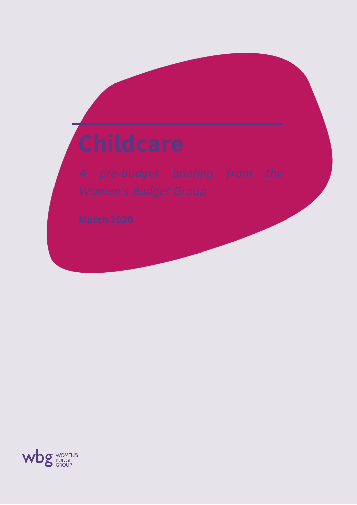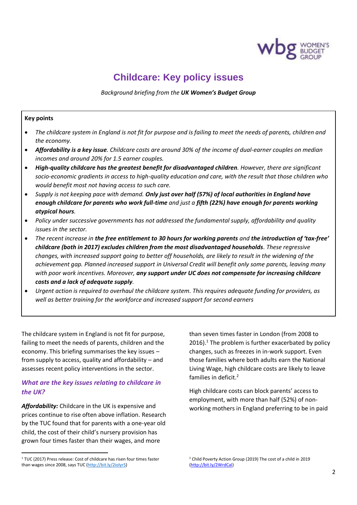

# **Childcare: Key policy issues**

*Background briefing from the UK Women's Budget Group*

#### **Key points**

- *The childcare system in England is not fit for purpose and is failing to meet the needs of parents, children and the economy.*
- *Affordability is a key issue. Childcare costs are around 30% of the income of dual-earner couples on median incomes and around 20% for 1.5 earner couples.*
- *High-quality childcare has the greatest benefit for disadvantaged children. However, there are significant socio-economic gradients in access to high-quality education and care, with the result that those children who would benefit most not having access to such care.*
- *Supply is not keeping pace with demand. Only just over half (57%) of local authorities in England have enough childcare for parents who work full-time and just a fifth (22%) have enough for parents working atypical hours.*
- *Policy under successive governments has not addressed the fundamental supply, affordability and quality issues in the sector.*
- *The recent increase in the free entitlement to 30 hours for working parents and the introduction of 'tax-free' childcare (both in 2017) excludes children from the most disadvantaged households. These regressive changes, with increased support going to better off households, are likely to result in the widening of the achievement gap. Planned increased support in Universal Credit will benefit only some parents, leaving many with poor work incentives. Moreover, any support under UC does not compensate for increasing childcare costs and a lack of adequate supply.*
- *Urgent action is required to overhaul the childcare system. This requires adequate funding for providers, as well as better training for the workforce and increased support for second earners*

The childcare system in England is not fit for purpose, failing to meet the needs of parents, children and the economy. This briefing summarises the key issues – from supply to access, quality and affordability – and assesses recent policy interventions in the sector.

# *What are the key issues relating to childcare in the UK?*

*Affordability:* Childcare in the UK is expensive and prices continue to rise often above inflation. Research by the TUC found that for parents with a one-year old child, the cost of their child's nursery provision has grown four times faster than their wages, and more

<sup>1</sup> TUC (2017) Press release: Cost of childcare has risen four times faster than wages since 2008, says TUC [\(http://bit.ly/2ioIyrS\)](http://bit.ly/2ioIyrS)

than seven times faster in London (from 2008 to  $2016$ ).<sup>1</sup> The problem is further exacerbated by policy changes, such as freezes in in-work support. Even those families where both adults earn the National Living Wage, high childcare costs are likely to leave families in deficit.<sup>2</sup>

High childcare costs can block parents' access to employment, with more than half (52%) of nonworking mothers in England preferring to be in paid

<sup>2</sup> Child Poverty Action Group (2019) The cost of a child in 2019 [\(http://bit.ly/2WrdCal\)](http://bit.ly/2WrdCal)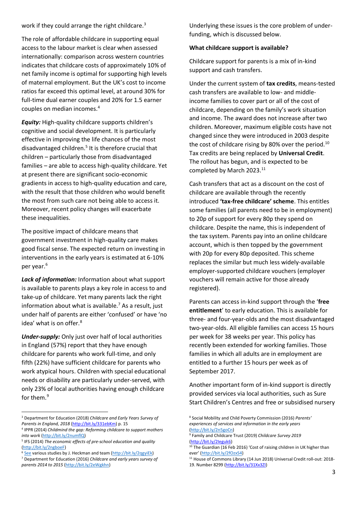work if they could arrange the right childcare.<sup>3</sup>

The role of affordable childcare in supporting equal access to the labour market is clear when assessed internationally: comparison across western countries indicates that childcare costs of approximately 10% of net family income is optimal for supporting high levels of maternal employment. But the UK's cost to income ratios far exceed this optimal level, at around 30% for full-time dual earner couples and 20% for 1.5 earner couples on median incomes.<sup>4</sup>

*Equity:* High-quality childcare supports children's cognitive and social development. It is particularly effective in improving the life chances of the most disadvantaged children.<sup>5</sup> It is therefore crucial that children – particularly those from disadvantaged families – are able to access high-quality childcare. Yet at present there are significant socio-economic gradients in access to high-quality education and care, with the result that those children who would benefit the most from such care not being able to access it. Moreover, recent policy changes will exacerbate these inequalities.

The positive impact of childcare means that government investment in high-quality care makes good fiscal sense. The expected return on investing in interventions in the early years is estimated at 6-10% per year.<sup>6</sup>

*Lack of information:* Information about what support is available to parents plays a key role in access to and take-up of childcare. Yet many parents lack the right information about what is available. $<sup>7</sup>$  As a result, just</sup> under half of parents are either 'confused' or have 'no idea' what is on offer.<sup>8</sup>

*Under-supply:* Only just over half of local authorities in England (57%) report that they have enough childcare for parents who work full-time, and only fifth (22%) have sufficient childcare for parents who work atypical hours. Children with special educational needs or disability are particularly under-served, with only 23% of local authorities having enough childcare for them.<sup>9</sup>

Underlying these issues is the core problem of underfunding, which is discussed below.

#### **What childcare support is available?**

Childcare support for parents is a mix of in-kind support and cash transfers.

Under the current system of **tax credits**, means-tested cash transfers are available to low- and middleincome families to cover part or all of the cost of childcare, depending on the family's work situation and income. The award does not increase after two children. Moreover, maximum eligible costs have not changed since they were introduced in 2003 despite the cost of childcare rising by 80% over the period.<sup>10</sup> Tax credits are being replaced by **Universal Credit**. The rollout has begun, and is expected to be completed by March 2023.<sup>11</sup>

Cash transfers that act as a discount on the cost of childcare are available through the recently introduced **'tax-free childcare' scheme**. This entitles some families (all parents need to be in employment) to 20p of support for every 80p they spend on childcare. Despite the name, this is independent of the tax system. Parents pay into an online childcare account, which is then topped by the government with 20p for every 80p deposited. This scheme replaces the similar but much less widely-available employer-supported childcare vouchers (employer vouchers will remain active for those already registered).

Parents can access in-kind support through the '**free entitlement**' to early education. This is available for three- and four-year-olds and the most disadvantaged two-year-olds. All eligible families can access 15 hours per week for 38 weeks per year. This policy has recently been extended for working families. Those families in which all adults are in employment are entitled to a further 15 hours per week as of September 2017.

Another important form of in-kind support is directly provided services via local authorities, such as Sure Start Children's Centres and free or subsidised nursery

<sup>3</sup> Department for Education (2018) *Childcare and Early Years Survey of*  Parents in England, 2018 [\(http://bit.ly/331ebKm\)](http://bit.ly/331ebKm) p. 15

<sup>4</sup> IPPR (2014) *Childmind the gap: Reforming childcare to support mothers into work* [\(http://bit.ly/2numflQ\)](http://bit.ly/2numflQ)

<sup>5</sup> IFS (2014) *The economic effects of pre-school education and quality* [\(http://bit.ly/2ngboeF\)](http://bit.ly/2ngboeF)

<sup>&</sup>lt;sup>6</sup> [See](about:blank) various studies by J. Heckman and team [\(http://bit.ly/2qgyiEk\)](http://bit.ly/2qgyiEk) <sup>7</sup> Department for Education (2016) *Childcare and early years survey of parents 2014 to 2015* [\(http://bit.ly/2eWgkhn\)](http://bit.ly/2eWgkhn)

<sup>8</sup> Social Mobility and Child Poverty Commission (2016) *Parents' experiences of services and information in the early years* [\(http://bit.ly/2n5goCn\)](http://bit.ly/2n5goCn)

<sup>9</sup> Family and Childcare Trust (2019) *Childcare Survey 2019* [\(http://bit.ly/2Ieguk6\)](http://bit.ly/2Ieguk6)

<sup>&</sup>lt;sup>10</sup> The Guardian (16 Feb 2016) 'Cost of raising children in UK higher than ever' [\(http://bit.ly/2fOzxS4\)](http://bit.ly/2fOzxS4)

<sup>&</sup>lt;sup>11</sup> House of Commons Library (14 Jun 2018) Universal Credit roll-out: 2018-19. Number 8299 [\(http://bit.ly/31Xx3ZI\)](http://bit.ly/31Xx3ZI)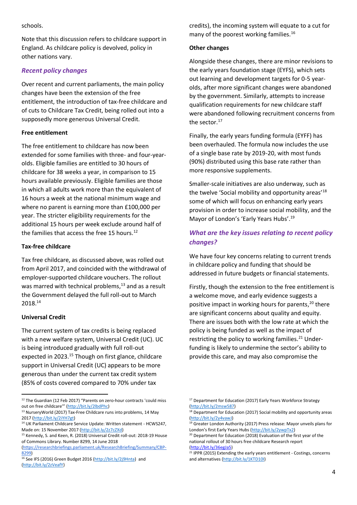schools.

Note that this discussion refers to childcare support in England. As childcare policy is devolved, policy in other nations vary.

### *Recent policy changes*

Over recent and current parliaments, the main policy changes have been the extension of the free entitlement, the introduction of tax-free childcare and of cuts to Childcare Tax Credit, being rolled out into a supposedly more generous Universal Credit.

#### **Free entitlement**

The free entitlement to childcare has now been extended for some families with three- and four-yearolds. Eligible families are entitled to 30 hours of childcare for 38 weeks a year, in comparison to 15 hours available previously. Eligible families are those in which all adults work more than the equivalent of 16 hours a week at the national minimum wage and where no parent is earning more than £100,000 per year. The stricter eligibility requirements for the additional 15 hours per week exclude around half of the families that access the free 15 hours. $12$ 

#### **Tax-free childcare**

Tax free childcare, as discussed above, was rolled out from April 2017, and coincided with the withdrawal of employer-supported childcare vouchers. The rollout was marred with technical problems, $13$  and as a result the Government delayed the full roll-out to March 2018.<sup>14</sup>

### **Universal Credit**

The current system of tax credits is being replaced with a new welfare system, Universal Credit (UC). UC is being introduced gradually with full roll-out expected in 2023.<sup>15</sup> Though on first glance, childcare support in Universal Credit (UC) appears to be more generous than under the current tax credit system (85% of costs covered compared to 70% under tax

credits), the incoming system will equate to a cut for many of the poorest working families.<sup>16</sup>

#### **Other changes**

Alongside these changes, there are minor revisions to the early years foundation stage (EYFS), which sets out learning and development targets for 0-5 yearolds, after more significant changes were abandoned by the government. Similarly, attempts to increase qualification requirements for new childcare staff were abandoned following recruitment concerns from the sector. $17$ 

Finally, the early years funding formula (EYFF) has been overhauled. The formula now includes the use of a single base rate by 2019-20, with most funds (90%) distributed using this base rate rather than more responsive supplements.

Smaller-scale initiatives are also underway, such as the twelve 'Social mobility and opportunity areas'<sup>18</sup> some of which will focus on enhancing early years provision in order to increase social mobility, and the Mayor of London's 'Early Years Hubs'.<sup>19</sup>

# *What are the key issues relating to recent policy changes?*

We have four key concerns relating to current trends in childcare policy and funding that should be addressed in future budgets or financial statements.

Firstly, though the extension to the free entitlement is a welcome move, and early evidence suggests a positive impact in working hours for parents, <sup>20</sup> there are significant concerns about quality and equity. There are issues both with the low rate at which the policy is being funded as well as the impact of restricting the policy to working families.<sup>21</sup> Underfunding is likely to undermine the sector's ability to provide this care, and may also compromise the

<sup>&</sup>lt;sup>12</sup> The Guardian (12 Feb 2017) "Parents on zero-hour contracts 'could miss out on free childcare<sup>"</sup>" [\(http://bit.ly/2lbdPhc\)](http://bit.ly/2lbdPhc)

<sup>13</sup> NurseryWorld (2017) Tax-Free Childcare runs into problems, 14 May 2017 [\(http://bit.ly/2iYH7gt\)](http://bit.ly/2iYH7gt)

<sup>&</sup>lt;sup>14</sup> UK Parliament Childcare Service Update: Written statement - HCWS247, Made on: 15 November 2017 [\(http://bit.ly/2z7cZXd\)](http://bit.ly/2z7cZXd)

<sup>15</sup> Kennedy, S. and Keen, R. (2018) Universal Credit roll-out: 2018-19 House of Commons Library. Number 8299, 14 June 2018

[<sup>\(</sup>https://researchbriefings.parliament.uk/ResearchBriefing/Summary/CBP-](https://researchbriefings.parliament.uk/ResearchBriefing/Summary/CBP-8299)[8299\)](https://researchbriefings.parliament.uk/ResearchBriefing/Summary/CBP-8299)

<sup>&</sup>lt;sup>16</sup> See IFS (2016) Green Budget 2016 [\(http://bit.ly/2j9Hnta\)](http://bit.ly/2j9Hnta) and [\(http://bit.ly/2zVeafY\)](http://bit.ly/2zVeafY)

<sup>&</sup>lt;sup>17</sup> Department for Education (2017) Early Years Workforce Strategy [\(http://bit.ly/2msw587\)](http://bit.ly/2msw587)

<sup>&</sup>lt;sup>18</sup> Department for Education (2017) Social mobility and opportunity areas [\(http://bit.ly/2y4vawJ\)](http://bit.ly/2y4vawJ)

<sup>&</sup>lt;sup>19</sup> Greater London Authority (2017) Press release: Mayor unveils plans for London's first Early Years Hubs ([http://bit.ly/2ywpTx2\)](http://bit.ly/2ywpTx2)

<sup>&</sup>lt;sup>20</sup> Department for Education (2018) Evaluation of the first year of the national rollout of 30 hours free childcare Research report [\(http://bit.ly/36egJa5\)](http://bit.ly/36egJa5)

<sup>&</sup>lt;sup>21</sup> IPPR (2015) Extending the early years entitlement - Costings, concerns and alternatives [\(http://bit.ly/1KTD10I\)](http://bit.ly/1KTD10I)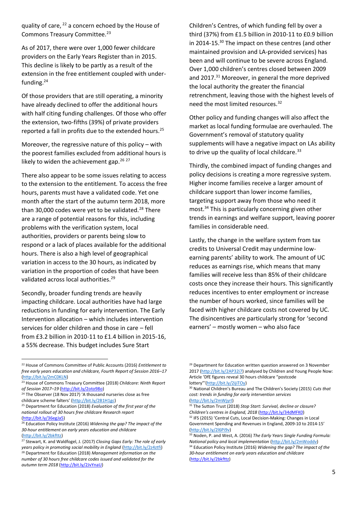quality of care, <sup>22</sup> a concern echoed by the House of Commons Treasury Committee.<sup>23</sup>

As of 2017, there were over 1,000 fewer childcare providers on the Early Years Register than in 2015. This decline is likely to be partly as a result of the extension in the free entitlement coupled with underfunding.<sup>24</sup>

Of those providers that are still operating, a minority have already declined to offer the additional hours with half citing funding challenges. Of those who offer the extension, two-fifths (39%) of private providers reported a fall in profits due to the extended hours.<sup>25</sup>

Moreover, the regressive nature of this policy – with the poorest families excluded from additional hours is likely to widen the achievement gap.<sup>26</sup><sup>27</sup>

There also appear to be some issues relating to access to the extension to the entitlement. To access the free hours, parents must have a validated code. Yet one month after the start of the autumn term 2018, more than 30,000 codes were yet to be validated.<sup>28</sup> There are a range of potential reasons for this, including problems with the verification system, local authorities, providers or parents being slow to respond or a lack of places available for the additional hours. There is also a high level of geographical variation in access to the 30 hours, as indicated by variation in the proportion of codes that have been validated across local authorities.<sup>29</sup>

Secondly, broader funding trends are heavily impacting childcare. Local authorities have had large reductions in funding for early intervention. The Early Intervention allocation – which includes intervention services for older children and those in care – fell from £3.2 billion in 2010-11 to £1.4 billion in 2015-16, a 55% decrease. This budget includes Sure Start

Children's Centres, of which funding fell by over a third (37%) from £1.5 billion in 2010-11 to £0.9 billion in 2014-15.<sup>30</sup> The impact on these centres (and other maintained provision and LA-provided services) has been and will continue to be severe across England. Over 1,000 children's centres closed between 2009 and 2017.<sup>31</sup> Moreover, in general the more deprived the local authority the greater the financial retrenchment, leaving those with the highest levels of need the most limited resources.<sup>32</sup>

Other policy and funding changes will also affect the market as local funding formulae are overhauled. The Government's removal of statutory quality supplements will have a negative impact on LAs ability to drive up the quality of local childcare.<sup>33</sup>

Thirdly, the combined impact of funding changes and policy decisions is creating a more regressive system. Higher income families receive a larger amount of childcare support than lower income families, targeting support away from those who need it most.<sup>34</sup> This is particularly concerning given other trends in earnings and welfare support, leaving poorer families in considerable need.

Lastly, the change in the welfare system from tax credits to Universal Credit may undermine lowearning parents' ability to work. The amount of UC reduces as earnings rise, which means that many families will receive less than 85% of their childcare costs once they increase their hours. This significantly reduces incentives to enter employment or increase the number of hours worked, since families will be faced with higher childcare costs not covered by UC. The disincentives are particularly strong for 'second earners' – mostly women – who also face

[\(http://bit.ly/2mWjyrI\)](http://bit.ly/2mWjyrI) 

<sup>31</sup> The Sutton Trust (2018) *Stop Start: Survival, decline or closure? Children's centres in England, 2018* [\(http://bit.ly/34dMFK0\)](http://bit.ly/34dMFK0)  <sup>32</sup> IFS (2015) 'Central Cuts, Local Decision-Making: Changes in Local Government Spending and Revenues in England, 2009-10 to 2014-15' [\(http://bit.ly/2l6Pi9v\)](http://bit.ly/2l6Pi9v)

<sup>22</sup> House of Commons Committee of Public Accounts (2016) *Entitlement to free early years education and childcare, Fourth Report of Session 2016–17* [\(http://bit.ly/2mC0KLN\)](http://bit.ly/2mC0KLN) 

<sup>23</sup> House of Commons Treasury Committee (2018) *Childcare: Ninth Report of Session 2017–19* [\(http://bit.ly/2oto98o\)](http://bit.ly/2oto98o) 

 $24$  The Observer (18 Nov 2017) 'A thousand nurseries close as free childcare scheme falters' [\(http://bit.ly/2B1H1gc\)](http://bit.ly/2B1H1gc)

<sup>25</sup> Department for Education (2018) *Evaluation of the first year of the national rollout of 30 hours free childcare Research report* [\(http://bit.ly/36egJa5\)](http://bit.ly/36egJa5)

<sup>26</sup> Education Policy Institute (2016) *Widening the gap? The impact of the 30-hour entitlement on early years education and childcare* [\(http://bit.ly/2bkfttz\)](http://bit.ly/2bkfttz) 

<sup>27</sup> Stewart, K. and Waldfogel, J. (2017) *Closing Gaps Early: The role of early years policy in promoting social mobility in England* [\(http://bit.ly/2z4ztfi\)](http://bit.ly/2z4ztfi) <sup>28</sup> Department for Education (2018) *Management information on the number of 30 hours free childcare codes issued and validated for the autumn term 2018* [\(http://bit.ly/2JvYnaU\)](http://bit.ly/2JvYnaU)

<sup>&</sup>lt;sup>29</sup> Department for Education written question answered on 3 November 2017 [\(http://bit.ly/2AP32i7\)](http://bit.ly/2AP32i7) analysed by Children and Young People Now: Article 'DfE figures reveal 30 hours childcare "postcode lottery"'([http://bit.ly/2ijiTOy\)](http://bit.ly/2ijiTOy)

<sup>30</sup> National Children's Bureau and The Children's Society (2015) *Cuts that cost: trends in funding for early intervention services* 

<sup>33</sup> Noden, P. and West, A. (2016) *The Early Years Single Funding Formula: National policy and local implementation* [\(http://bit.ly/2mWoddv\)](http://bit.ly/2mWoddv)  <sup>34</sup> Education Policy Institute (2016) *Widening the gap? The impact of the 30-hour entitlement on early years education and childcare* [\(http://bit.ly/2bkfttz\)](http://bit.ly/2bkfttz)